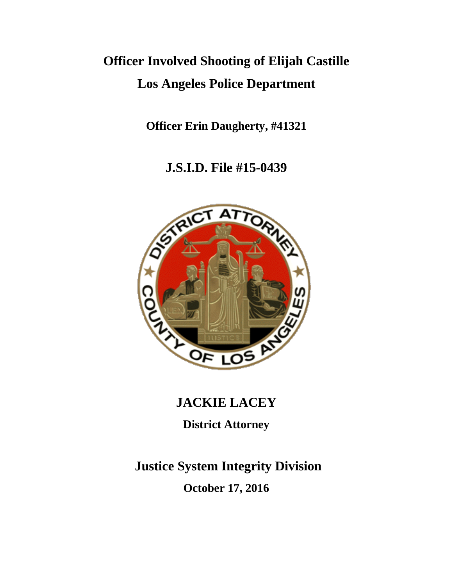# **Officer Involved Shooting of Elijah Castille Los Angeles Police Department**

**Officer Erin Daugherty, #41321**

**J.S.I.D. File #15-0439**



## **JACKIE LACEY**

**District Attorney**

**Justice System Integrity Division October 17, 2016**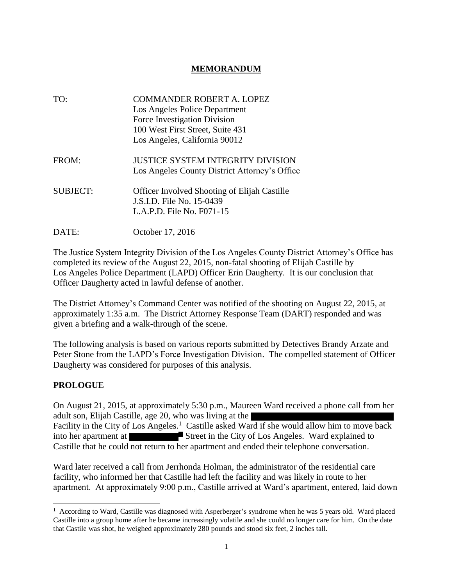#### **MEMORANDUM**

| TO:             | <b>COMMANDER ROBERT A. LOPEZ</b><br>Los Angeles Police Department<br>Force Investigation Division<br>100 West First Street, Suite 431<br>Los Angeles, California 90012 |
|-----------------|------------------------------------------------------------------------------------------------------------------------------------------------------------------------|
| FROM:           | <b>JUSTICE SYSTEM INTEGRITY DIVISION</b><br>Los Angeles County District Attorney's Office                                                                              |
| <b>SUBJECT:</b> | Officer Involved Shooting of Elijah Castille<br>J.S.I.D. File No. 15-0439<br>L.A.P.D. File No. F071-15                                                                 |
| DATE:           | October 17, 2016                                                                                                                                                       |

The Justice System Integrity Division of the Los Angeles County District Attorney's Office has completed its review of the August 22, 2015, non-fatal shooting of Elijah Castille by Los Angeles Police Department (LAPD) Officer Erin Daugherty. It is our conclusion that Officer Daugherty acted in lawful defense of another.

The District Attorney's Command Center was notified of the shooting on August 22, 2015, at approximately 1:35 a.m. The District Attorney Response Team (DART) responded and was given a briefing and a walk-through of the scene.

The following analysis is based on various reports submitted by Detectives Brandy Arzate and Peter Stone from the LAPD's Force Investigation Division. The compelled statement of Officer Daugherty was considered for purposes of this analysis.

#### **PROLOGUE**

l

On August 21, 2015, at approximately 5:30 p.m., Maureen Ward received a phone call from her adult son, Elijah Castille, age 20, who was living at the Facility in the City of Los Angeles.<sup>1</sup> Castille asked Ward if she would allow him to move back into her apartment at Street in the City of Los Angeles. Ward explained to Castille that he could not return to her apartment and ended their telephone conversation.

Ward later received a call from Jerrhonda Holman, the administrator of the residential care facility, who informed her that Castille had left the facility and was likely in route to her apartment. At approximately 9:00 p.m., Castille arrived at Ward's apartment, entered, laid down

<sup>&</sup>lt;sup>1</sup> According to Ward, Castille was diagnosed with Asperberger's syndrome when he was 5 years old. Ward placed Castille into a group home after he became increasingly volatile and she could no longer care for him. On the date that Castile was shot, he weighed approximately 280 pounds and stood six feet, 2 inches tall.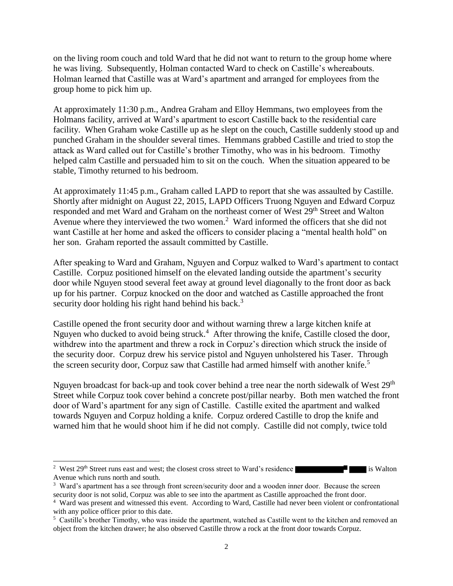on the living room couch and told Ward that he did not want to return to the group home where he was living. Subsequently, Holman contacted Ward to check on Castille's whereabouts. Holman learned that Castille was at Ward's apartment and arranged for employees from the group home to pick him up.

At approximately 11:30 p.m., Andrea Graham and Elloy Hemmans, two employees from the Holmans facility, arrived at Ward's apartment to escort Castille back to the residential care facility. When Graham woke Castille up as he slept on the couch, Castille suddenly stood up and punched Graham in the shoulder several times. Hemmans grabbed Castille and tried to stop the attack as Ward called out for Castille's brother Timothy, who was in his bedroom. Timothy helped calm Castille and persuaded him to sit on the couch. When the situation appeared to be stable, Timothy returned to his bedroom.

At approximately 11:45 p.m., Graham called LAPD to report that she was assaulted by Castille. Shortly after midnight on August 22, 2015, LAPD Officers Truong Nguyen and Edward Corpuz responded and met Ward and Graham on the northeast corner of West 29<sup>th</sup> Street and Walton Avenue where they interviewed the two women.<sup>2</sup> Ward informed the officers that she did not want Castille at her home and asked the officers to consider placing a "mental health hold" on her son. Graham reported the assault committed by Castille.

After speaking to Ward and Graham, Nguyen and Corpuz walked to Ward's apartment to contact Castille. Corpuz positioned himself on the elevated landing outside the apartment's security door while Nguyen stood several feet away at ground level diagonally to the front door as back up for his partner. Corpuz knocked on the door and watched as Castille approached the front security door holding his right hand behind his back. $3$ 

Castille opened the front security door and without warning threw a large kitchen knife at Nguyen who ducked to avoid being struck.<sup>4</sup> After throwing the knife, Castille closed the door, withdrew into the apartment and threw a rock in Corpuz's direction which struck the inside of the security door. Corpuz drew his service pistol and Nguyen unholstered his Taser. Through the screen security door, Corpuz saw that Castille had armed himself with another knife.<sup>5</sup>

Nguyen broadcast for back-up and took cover behind a tree near the north sidewalk of West 29<sup>th</sup> Street while Corpuz took cover behind a concrete post/pillar nearby. Both men watched the front door of Ward's apartment for any sign of Castille. Castille exited the apartment and walked towards Nguyen and Corpuz holding a knife. Corpuz ordered Castille to drop the knife and warned him that he would shoot him if he did not comply. Castille did not comply, twice told

 $\overline{a}$ <sup>2</sup> West  $29<sup>th</sup>$  Street runs east and west; the closest cross street to Ward's residence is Walton Avenue which runs north and south.

<sup>&</sup>lt;sup>3</sup> Ward's apartment has a see through front screen/security door and a wooden inner door. Because the screen security door is not solid, Corpuz was able to see into the apartment as Castille approached the front door.

<sup>4</sup> Ward was present and witnessed this event. According to Ward, Castille had never been violent or confrontational with any police officer prior to this date.

<sup>&</sup>lt;sup>5</sup> Castille's brother Timothy, who was inside the apartment, watched as Castille went to the kitchen and removed an object from the kitchen drawer; he also observed Castille throw a rock at the front door towards Corpuz.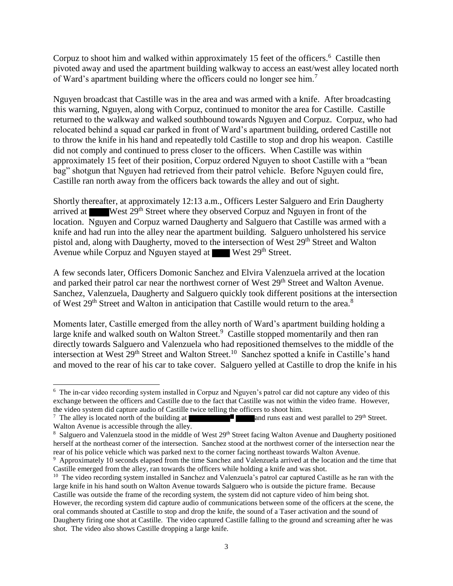Corpuz to shoot him and walked within approximately 15 feet of the officers.<sup>6</sup> Castille then pivoted away and used the apartment building walkway to access an east/west alley located north of Ward's apartment building where the officers could no longer see him.<sup>7</sup>

Nguyen broadcast that Castille was in the area and was armed with a knife. After broadcasting this warning, Nguyen, along with Corpuz, continued to monitor the area for Castille. Castille returned to the walkway and walked southbound towards Nguyen and Corpuz. Corpuz, who had relocated behind a squad car parked in front of Ward's apartment building, ordered Castille not to throw the knife in his hand and repeatedly told Castille to stop and drop his weapon. Castille did not comply and continued to press closer to the officers. When Castille was within approximately 15 feet of their position, Corpuz ordered Nguyen to shoot Castille with a "bean bag" shotgun that Nguyen had retrieved from their patrol vehicle. Before Nguyen could fire, Castille ran north away from the officers back towards the alley and out of sight.

Shortly thereafter, at approximately 12:13 a.m., Officers Lester Salguero and Erin Daugherty arrived at West 29th Street where they observed Corpuz and Nguyen in front of the location. Nguyen and Corpuz warned Daugherty and Salguero that Castille was armed with a knife and had run into the alley near the apartment building. Salguero unholstered his service pistol and, along with Daugherty, moved to the intersection of West 29<sup>th</sup> Street and Walton Avenue while Corpuz and Nguyen stayed at West 29<sup>th</sup> Street.

A few seconds later, Officers Domonic Sanchez and Elvira Valenzuela arrived at the location and parked their patrol car near the northwest corner of West 29<sup>th</sup> Street and Walton Avenue. Sanchez, Valenzuela, Daugherty and Salguero quickly took different positions at the intersection of West 29<sup>th</sup> Street and Walton in anticipation that Castille would return to the area.<sup>8</sup>

Moments later, Castille emerged from the alley north of Ward's apartment building holding a large knife and walked south on Walton Street.<sup>9</sup> Castille stopped momentarily and then ran directly towards Salguero and Valenzuela who had repositioned themselves to the middle of the intersection at West 29<sup>th</sup> Street and Walton Street.<sup>10</sup> Sanchez spotted a knife in Castille's hand and moved to the rear of his car to take cover. Salguero yelled at Castille to drop the knife in his

 $\overline{\phantom{a}}$ 

<sup>&</sup>lt;sup>6</sup> The in-car video recording system installed in Corpuz and Nguyen's patrol car did not capture any video of this exchange between the officers and Castille due to the fact that Castille was not within the video frame. However, the video system did capture audio of Castille twice telling the officers to shoot him.

<sup>&</sup>lt;sup>7</sup> The alley is located north of the building at **a** and runs east and west parallel to  $29<sup>th</sup>$  Street. Walton Avenue is accessible through the alley.

<sup>&</sup>lt;sup>8</sup> Salguero and Valenzuela stood in the middle of West 29<sup>th</sup> Street facing Walton Avenue and Daugherty positioned herself at the northeast corner of the intersection. Sanchez stood at the northwest corner of the intersection near the rear of his police vehicle which was parked next to the corner facing northeast towards Walton Avenue.

<sup>9</sup> Approximately 10 seconds elapsed from the time Sanchez and Valenzuela arrived at the location and the time that Castille emerged from the alley, ran towards the officers while holding a knife and was shot.

<sup>&</sup>lt;sup>10</sup> The video recording system installed in Sanchez and Valenzuela's patrol car captured Castille as he ran with the large knife in his hand south on Walton Avenue towards Salguero who is outside the picture frame. Because Castille was outside the frame of the recording system, the system did not capture video of him being shot. However, the recording system did capture audio of communications between some of the officers at the scene, the oral commands shouted at Castille to stop and drop the knife, the sound of a Taser activation and the sound of Daugherty firing one shot at Castille. The video captured Castille falling to the ground and screaming after he was shot. The video also shows Castille dropping a large knife.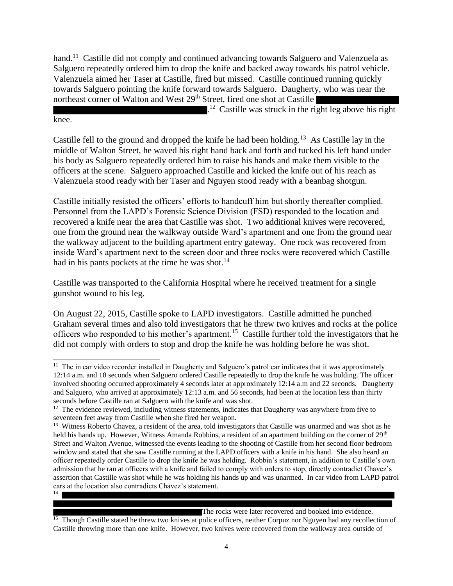hand.<sup>11</sup> Castille did not comply and continued advancing towards Salguero and Valenzuela as Salguero repeatedly ordered him to drop the knife and backed away towards his patrol vehicle. Valenzuela aimed her Taser at Castille, fired but missed. Castille continued running quickly towards Salguero pointing the knife forward towards Salguero. Daugherty, who was near the northeast corner of Walton and West 29<sup>th</sup> Street, fired one shot at Castille

 $1<sup>12</sup>$  Castille was struck in the right leg above his right

Castille fell to the ground and dropped the knife he had been holding.<sup>13</sup> As Castille lay in the middle of Walton Street, he waved his right hand back and forth and tucked his left hand under his body as Salguero repeatedly ordered him to raise his hands and make them visible to the officers at the scene. Salguero approached Castille and kicked the knife out of his reach as Valenzuela stood ready with her Taser and Nguyen stood ready with a beanbag shotgun.

knee.

Castille initially resisted the officers' efforts to handcuff him but shortly thereafter complied. Personnel from the LAPD's Forensic Science Division (FSD) responded to the location and recovered a knife near the area that Castille was shot. Two additional knives were recovered, one from the ground near the walkway outside Ward's apartment and one from the ground near the walkway adjacent to the building apartment entry gateway. One rock was recovered from inside Ward's apartment next to the screen door and three rocks were recovered which Castille had in his pants pockets at the time he was shot.<sup>14</sup>

Castille was transported to the California Hospital where he received treatment for a single gunshot wound to his leg.

On August 22, 2015, Castille spoke to LAPD investigators. Castille admitted he punched Graham several times and also told investigators that he threw two knives and rocks at the police officers who responded to his mother's apartment.<sup>15</sup> Castille further told the investigators that he did not comply with orders to stop and drop the knife he was holding before he was shot.

The rocks were later recovered and booked into evidence.

<sup>15</sup> Though Castille stated he threw two knives at police officers, neither Corpuz nor Nguyen had any recollection of Castille throwing more than one knife. However, two knives were recovered from the walkway area outside of

 $\overline{\phantom{a}}$ <sup>11</sup> The in car video recorder installed in Daugherty and Salguero's patrol car indicates that it was approximately 12:14 a.m. and 18 seconds when Salguero ordered Castille repeatedly to drop the knife he was holding. The officer involved shooting occurred approximately 4 seconds later at approximately 12:14 a.m and 22 seconds. Daugherty and Salguero, who arrived at approximately 12:13 a.m. and 56 seconds, had been at the location less than thirty seconds before Castille ran at Salguero with the knife and was shot.

 $12$  The evidence reviewed, including witness statements, indicates that Daugherty was anywhere from five to seventeen feet away from Castille when she fired her weapon.

<sup>&</sup>lt;sup>13</sup> Witness Roberto Chavez, a resident of the area, told investigators that Castille was unarmed and was shot as he held his hands up. However, Witness Amanda Robbins, a resident of an apartment building on the corner of 29<sup>th</sup> Street and Walton Avenue, witnessed the events leading to the shooting of Castille from her second floor bedroom window and stated that she saw Castille running at the LAPD officers with a knife in his hand. She also heard an officer repeatedly order Castille to drop the knife he was holding. Robbin's statement, in addition to Castille's own admission that he ran at officers with a knife and failed to comply with orders to stop, directly contradict Chavez's assertion that Castille was shot while he was holding his hands up and was unarmed. In car video from LAPD patrol cars at the location also contradicts Chavez's statement. 14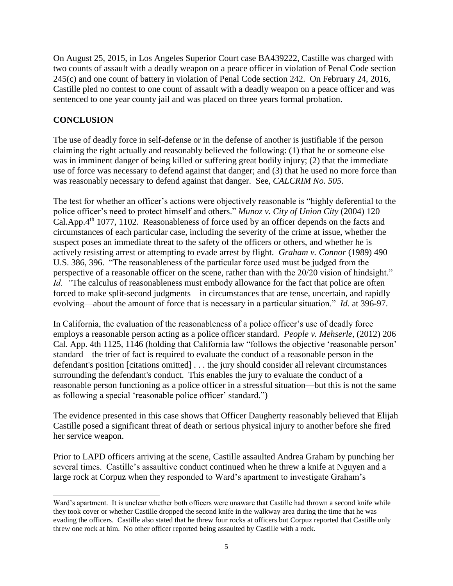On August 25, 2015, in Los Angeles Superior Court case BA439222, Castille was charged with two counts of assault with a deadly weapon on a peace officer in violation of Penal Code section 245(c) and one count of battery in violation of Penal Code section 242. On February 24, 2016, Castille pled no contest to one count of assault with a deadly weapon on a peace officer and was sentenced to one year county jail and was placed on three years formal probation.

### **CONCLUSION**

The use of deadly force in self-defense or in the defense of another is justifiable if the person claiming the right actually and reasonably believed the following: (1) that he or someone else was in imminent danger of being killed or suffering great bodily injury; (2) that the immediate use of force was necessary to defend against that danger; and (3) that he used no more force than was reasonably necessary to defend against that danger. See, *CALCRIM No. 505*.

The test for whether an officer's actions were objectively reasonable is "highly deferential to the police officer's need to protect himself and others." *Munoz v. City of Union City* (2004) 120 Cal.App.4th 1077, 1102. Reasonableness of force used by an officer depends on the facts and circumstances of each particular case, including the severity of the crime at issue, whether the suspect poses an immediate threat to the safety of the officers or others, and whether he is actively resisting arrest or attempting to evade arrest by flight. *Graham v. Connor* (1989) 490 U.S. 386, 396. "The reasonableness of the particular force used must be judged from the perspective of a reasonable officer on the scene, rather than with the 20/20 vision of hindsight." *Id.* "The calculus of reasonableness must embody allowance for the fact that police are often forced to make split-second judgments—in circumstances that are tense, uncertain, and rapidly evolving—about the amount of force that is necessary in a particular situation." *Id.* at 396-97.

In California, the evaluation of the reasonableness of a police officer's use of deadly force employs a reasonable person acting as a police officer standard. *[People v. Mehserle](https://advance.lexis.com/api/document/collection/cases/id/55V4-VH01-F04B-N0PT-00000-00?context=1000516)*, (2012) 206 [Cal. App. 4th 1125, 1146 \(](https://advance.lexis.com/api/document/collection/cases/id/55V4-VH01-F04B-N0PT-00000-00?context=1000516)holding that California law "follows the objective 'reasonable person' standard—the trier of fact is required to evaluate the conduct of a reasonable person in the defendant's position [citations omitted] . . . the jury should consider all relevant circumstances surrounding the defendant's conduct. This enables the jury to evaluate the conduct of a reasonable person functioning as a police officer in a stressful situation—but this is not the same as following a special 'reasonable police officer' standard.")

The evidence presented in this case shows that Officer Daugherty reasonably believed that Elijah Castille posed a significant threat of death or serious physical injury to another before she fired her service weapon.

Prior to LAPD officers arriving at the scene, Castille assaulted Andrea Graham by punching her several times. Castille's assaultive conduct continued when he threw a knife at Nguyen and a large rock at Corpuz when they responded to Ward's apartment to investigate Graham's

 $\overline{\phantom{a}}$ Ward's apartment. It is unclear whether both officers were unaware that Castille had thrown a second knife while they took cover or whether Castille dropped the second knife in the walkway area during the time that he was evading the officers. Castille also stated that he threw four rocks at officers but Corpuz reported that Castille only threw one rock at him. No other officer reported being assaulted by Castille with a rock.